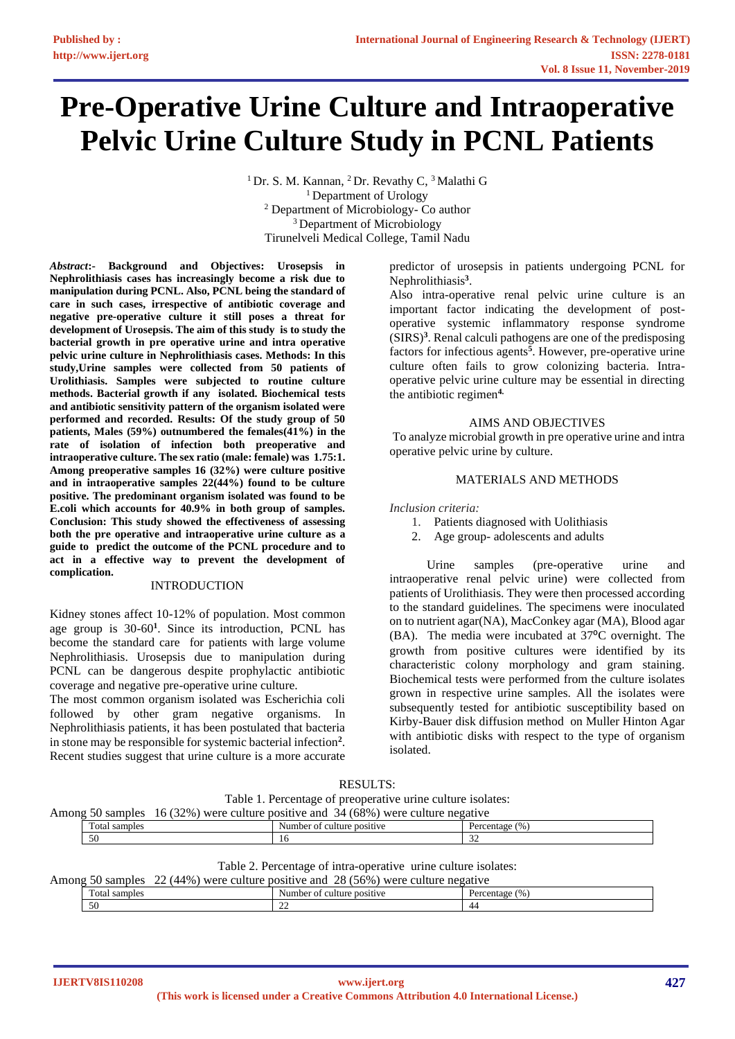# **Pre-Operative Urine Culture and Intraoperative Pelvic Urine Culture Study in PCNL Patients**

<sup>1</sup> Dr. S. M. Kannan, <sup>2</sup> Dr. Revathy C, <sup>3</sup> Malathi G <sup>1</sup> Department of Urology <sup>2</sup> Department of Microbiology- Co author <sup>3</sup> Department of Microbiology Tirunelveli Medical College, Tamil Nadu

*Abstract***:- Background and Objectives: Urosepsis in Nephrolithiasis cases has increasingly become a risk due to manipulation during PCNL. Also, PCNL being the standard of care in such cases, irrespective of antibiotic coverage and negative pre-operative culture it still poses a threat for development of Urosepsis. The aim of this study is to study the bacterial growth in pre operative urine and intra operative pelvic urine culture in Nephrolithiasis cases. Methods: In this study,Urine samples were collected from 50 patients of Urolithiasis. Samples were subjected to routine culture methods. Bacterial growth if any isolated. Biochemical tests and antibiotic sensitivity pattern of the organism isolated were performed and recorded. Results: Of the study group of 50 patients, Males (59%) outnumbered the females(41%) in the rate of isolation of infection both preoperative and intraoperative culture. The sex ratio (male: female) was 1.75:1. Among preoperative samples 16 (32%) were culture positive and in intraoperative samples 22(44%) found to be culture positive. The predominant organism isolated was found to be E.coli which accounts for 40.9% in both group of samples. Conclusion: This study showed the effectiveness of assessing both the pre operative and intraoperative urine culture as a guide to predict the outcome of the PCNL procedure and to act in a effective way to prevent the development of complication.**

## INTRODUCTION

Kidney stones affect 10-12% of population. Most common age group is 30-60**<sup>1</sup>** . Since its introduction, PCNL has become the standard care for patients with large volume Nephrolithiasis. Urosepsis due to manipulation during PCNL can be dangerous despite prophylactic antibiotic coverage and negative pre-operative urine culture.

The most common organism isolated was Escherichia coli followed by other gram negative organisms. In Nephrolithiasis patients, it has been postulated that bacteria in stone may be responsible for systemic bacterial infection**<sup>2</sup>** . Recent studies suggest that urine culture is a more accurate

predictor of urosepsis in patients undergoing PCNL for Nephrolithiasis**<sup>3</sup>** .

Also intra-operative renal pelvic urine culture is an important factor indicating the development of postoperative systemic inflammatory response syndrome  $(SIRS)<sup>3</sup>$ . Renal calculi pathogens are one of the predisposing factors for infectious agents**<sup>5</sup>** . However, pre-operative urine culture often fails to grow colonizing bacteria. Intraoperative pelvic urine culture may be essential in directing the antibiotic regimen**4.** 

## AIMS AND OBJECTIVES

To analyze microbial growth in pre operative urine and intra operative pelvic urine by culture.

## MATERIALS AND METHODS

*Inclusion criteria:*

- 1. Patients diagnosed with Uolithiasis
- 2. Age group- adolescents and adults

 Urine samples (pre-operative urine and intraoperative renal pelvic urine) were collected from patients of Urolithiasis. They were then processed according to the standard guidelines. The specimens were inoculated on to nutrient agar(NA), MacConkey agar (MA), Blood agar (BA). The media were incubated at 37°C overnight. The growth from positive cultures were identified by its characteristic colony morphology and gram staining. Biochemical tests were performed from the culture isolates grown in respective urine samples. All the isolates were subsequently tested for antibiotic susceptibility based on Kirby-Bauer disk diffusion method on Muller Hinton Agar with antibiotic disks with respect to the type of organism isolated.

| <b>RESULT</b><br>$\cdot$ |
|--------------------------|
|--------------------------|

Table 1. Percentage of preoperative urine culture isolates:

| Among | samples                          | $32\%$ ,<br>were<br>culture<br>10 ( | 34 (68%)<br>positive and<br>were,<br>culture<br>negative |                             |  |
|-------|----------------------------------|-------------------------------------|----------------------------------------------------------|-----------------------------|--|
|       | $\mathbf{r}$<br>Total<br>samples |                                     | culture positive<br>Number of                            | $\frac{1}{2}$<br>Percentage |  |
|       | 50                               |                                     |                                                          | $\sim$<br>ے ب               |  |

Table 2. Percentage of intra-operative urine culture isolates:

| Among | nn.<br>28 (<br>$(56\%$<br>(44%<br>positive and<br>were<br>samples<br>were<br>culture<br>culture<br>negative |  |                               |                     |  |  |
|-------|-------------------------------------------------------------------------------------------------------------|--|-------------------------------|---------------------|--|--|
|       | $\sim$<br><b>Cotal</b><br>samples                                                                           |  | culture positive<br>Number of | (0/0)<br>Percentage |  |  |
|       | 50                                                                                                          |  | $\sim$<br>∸                   | 44                  |  |  |

**IJERTV8IS110208**